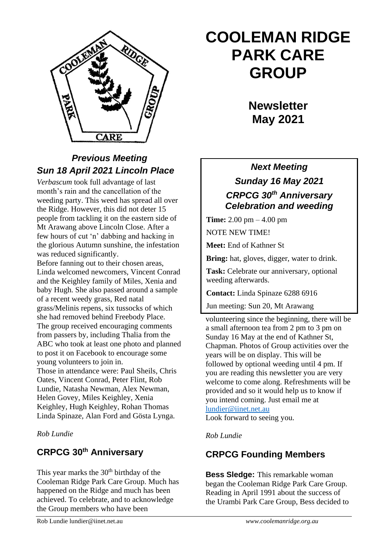

## *Previous Meeting Sun 18 April 2021 Lincoln Place*

*Verbascum* took full advantage of last month's rain and the cancellation of the weeding party. This weed has spread all over the Ridge. However, this did not deter 15 people from tackling it on the eastern side of Mt Arawang above Lincoln Close. After a few hours of cut 'n' dabbing and hacking in the glorious Autumn sunshine, the infestation was reduced significantly.

Before fanning out to their chosen areas, Linda welcomed newcomers, Vincent Conrad and the Keighley family of Miles, Xenia and baby Hugh. She also passed around a sample of a recent weedy grass, Red natal grass/Melinis repens, six tussocks of which she had removed behind Freebody Place. The group received encouraging comments from passers by, including Thalia from the ABC who took at least one photo and planned to post it on Facebook to encourage some young volunteers to join in.

Those in attendance were: Paul Sheils, Chris Oates, Vincent Conrad, Peter Flint, Rob Lundie, Natasha Newman, Alex Newman, Helen Govey, Miles Keighley, Xenia Keighley, Hugh Keighley, Rohan Thomas Linda Spinaze, Alan Ford and Gösta Lynga.

*Rob Lundie*

#### **CRPCG 30th Anniversary**

This year marks the  $30<sup>th</sup>$  birthday of the Cooleman Ridge Park Care Group. Much has happened on the Ridge and much has been achieved. To celebrate, and to acknowledge the Group members who have been

# **COOLEMAN RIDGE PARK CARE GROUP**

**Newsletter May 2021** 

## *Next Meeting Sunday 16 May 2021 CRPCG 30th Anniversary Celebration and weeding*

**Time:** 2.00 pm – 4.00 pm

NOTE NEW TIME!

**Meet:** End of Kathner St

**Bring:** hat, gloves, digger, water to drink.

**Task:** Celebrate our anniversary, optional weeding afterwards.

**Contact:** Linda Spinaze 6288 6916

Jun meeting: Sun 20, Mt Arawang

volunteering since the beginning, there will be a small afternoon tea from 2 pm to 3 pm on Sunday 16 May at the end of Kathner St, Chapman. Photos of Group activities over the years will be on display. This will be followed by optional weeding until 4 pm. If you are reading this newsletter you are very welcome to come along. Refreshments will be provided and so it would help us to know if you intend coming. Just email me at [lundier@iinet.net.au](mailto:lundier@iinet.net.au)

Look forward to seeing you.

*Rob Lundie*

### **CRPCG Founding Members**

**Bess Sledge:** This remarkable woman began the Cooleman Ridge Park Care Group. Reading in April 1991 about the success of the Urambi Park Care Group, Bess decided to